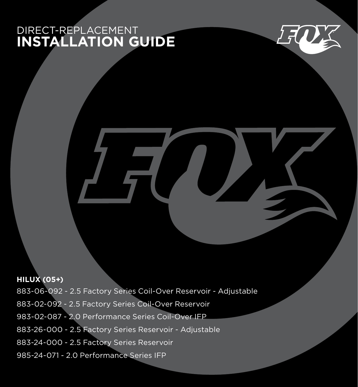## DIRECT-REPLACEMENT **INSTALLATION GUIDE**



**HILUX (05+)**  883-06-092 - 2.5 Factory Series Coil-Over Reservoir - Adjustable 883-02-092 - 2.5 Factory Series Coil-Over Reservoir 983-02-087 - 2.0 Performance Series Coil-Over IFP 883-26-000 - 2.5 Factory Series Reservoir - Adjustable 883-24-000 - 2.5 Factory Series Reservoir 985-24-071 - 2.0 Performance Series IFP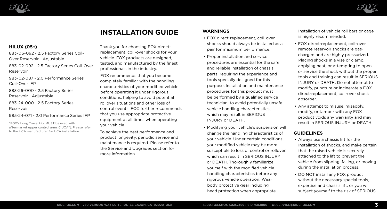



# **INSTALLATION GUIDE**

### **HILUX (05+)**

883-06-092 - 2.5 Factory Series Coil-Over Reservoir - Adjustable

883-02-092 - 2.5 Factory Series Coil-Over Reservoir

983-02-087 - 2.0 Performance Series Coil-Over IFP

883-26-000 - 2.5 Factory Series Reservoir - Adjustable

883-24-000 - 2.5 Factory Series Reservoir

985-24-071 - 2.0 Performance Series IFP

\*FOX's Long Travel kits MUST be used with aftermarket upper control arms ("UCA"). Please refer to the UCA manufacturer for UCA installation.

Thank you for choosing FOX directreplacement, coil-over shocks for your vehicle. FOX products are designed, tested, and manufactured by the finest professionals in the industry.

FOX recommends that you become completely familiar with the handling characteristics of your modified vehicle before operating it under rigorous conditions, helping to avoid potential rollover situations and other loss of control events. FOX further recommends that you use appropriate protective equipment at all times when operating your vehicle.

To achieve the best performance and product longevity, periodic service and maintenance is required. Please refer to the Service and Upgrades section for more information.

## **WARNINGS**

- FOX direct-replacement, coil-over shocks should always be installed as a pair for maximum performance.
- Proper installation and service procedures are essential for the safe and reliable installation of chassis parts, requiring the experience and tools specially designed for this purpose. Installation and maintenance procedures for this product must be performed by a qualified service technician, to avoid potentially unsafe vehicle handling characteristics, which may result in SERIOUS INJURY or DEATH.
- Modifying your vehicle's suspension will change the handling characteristics of your vehicle. Under certain conditions, your modified vehicle may be more susceptible to loss of control or rollover, which can result in SERIOUS INJURY or DEATH. Thoroughly familiarize yourself with the modified vehicle handling characteristics before any rigorous vehicle operation. Wear body protective gear including head protection when appropriate.

Installation of vehicle roll bars or cage is highly recommended.

- FOX direct-replacement, coil-over remote reservoir shocks are gascharged and are highly pressurized. Placing shocks in a vise or clamp, applying heat, or attempting to open or service the shock without the proper tools and training can result in SERIOUS INJURY or DEATH. Do not attempt to modify, puncture or incinerate a FOX direct-replacement, coil-over shock absorber.
- Any attempt to misuse, misapply, modify, or tamper with any FOX product voids any warranty and may result in SERIOUS INJURY or DEATH.

### **GUIDELINES**

- Always use a chassis lift for the installation of shocks, and make certain that the raised vehicle is securely attached to the lift to prevent the vehicle from slipping, falling, or moving during the installation process.
- DO NOT install any FOX product without the necessary special tools. expertise and chassis lift, or you will subject yourself to the risk of SERIOUS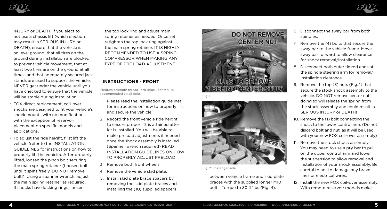



INJURY or DEATH. If you elect to not use a chassis lift (which election may result in SERIOUS INJURY or DEATH), ensure that the vehicle is on level ground, that all tires on the ground during installation are blocked to prevent vehicle movement, that at least two tires are on the ground at all times, and that adequately secured jack stands are used to support the vehicle. NEVER get under the vehicle until you have checked to ensure that the vehicle will be stable during installation.

- FOX direct-replacement, coil-over shocks are designed to fit your vehicle's shock mounts with no modifications with the exception of reservoir placement on specific models and applications.
- To adjust the ride height, first lift the vehicle (refer to the INSTALLATION GUIDELINES for instructions on how to properly lift the vehicle). After properly lifted, loosen the pinch bolt securing the main spring retainer (Loosen bolt until it spins freely, DO NOT remove bolt!). Using a spanner wrench, adjust the main spring retainer as required. If shocks have locking rings, loosen

the top lock ring and adjust main spring retainer as needed. Once set, retighten the top lock ring against the main spring retainer. IT IS HIGHLY RECOMMENDED TO USE A SPRING COMPRESSOR WHEN MAKING ANY TYPE OF PRE LOAD ADJUSTMENT

### **INSTRUCTIONS - FRONT**

Medium-strength thread-lock (blue Loctite®) is recommended on all bolts.

- 1. Please read the installation guidelines for instructions on how to properly lift and secure the vehicle.
- 2. Record the front vehicle ride height to ensure proper lift is attained after kit is installed. You will be able to make preload adjustments if needed once the shock assembly is installed. (Spanner wrench required) READ INSTALLATION GUIDELINES ON HOW TO PROPERLY ADJUST PRELOAD
- 3. Remove both front wheels.
- 4. Remove the vehicle skid plate.
- 5. Install skid plate brace spacers by removing the skid plate braces and installing the (10) supplied spacers





Fig. 2: Passenger side

between vehicle frame and skid plate braces with the supplied longer M10 bolts. Torque to 30 ft\*lbs (Fig. 4).

- 6. Disconnect the sway bar from both spindles.
- 7. Remove the (4) bolts that secure the sway bar to the vehicle frame. Move sway bar forward to allow clearance for shock removal/installation.
- 8. Disconnect both outer tie rod ends at the spindle steering arm for removal/ installation clearance.
- 9. Remove the top (3) nuts (Fig. 1) that secure the stock shock assembly to the vehicle. DO NOT remove center nut; doing so will release the spring from the stock assembly and could result in SERIOUS INJURY or DEATH!
- 10. Remove the (1) bolt connecting the shock to the lower control arm. (Do not discard bolt and nut, as it will be used with your new FOX coil-over assembly)
- 11. Remove the stock shock assembly. You may need to use a pry bar to pull on the upper control arm and lower the suspension to allow removal and installation of your shock assembly. Be careful to not to damage any brake lines or electrical wires.
- 12. Install the new FOX coil-over assembly. With remote reservoir models make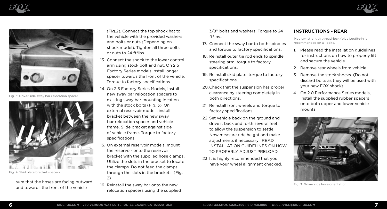





Fig. 3: Driver side sway bar relocation spacer



Fig. 4: Skid plate bracket spacers

Sure that the hoses are facing outward<br>Fig. 3: Driver side hose orientation sure that the sure that the new and towards the front of the vehicle

(Fig.2). Connect the top shock hat to the vehicle with the provided washers and bolts or nuts (Depending on shock model). Tighten all three bolts or nuts to 24 ft\*lbs.

- 13. Connect the shock to the lower control arm using stock bolt and nut. On 2.5 Factory Series models install longer spacer towards the front of the vehicle. Torque to factory specifications.
- 14. On 2.5 Factory Series Models, install new sway bar relocation spacers to existing sway bar mounting location with the stock bolts (Fig. 3). On external reservoir models install bracket between the new sway bar relocation spacer and vehicle frame. Slide bracket against side of vehicle frame. Torque to factory specifications.
- 15. On external reservoir models, mount the reservoir onto the reservoir bracket with the supplied hose clamps. Utilize the slots in the bracket to locate the clamps. Do not feed the clamps through the slots in the brackets. (Fig. 2)
- 16. Reinstall the sway bar onto the new relocation spacers using the supplied

3/8'' bolts and washers. Torque to 24 ft\*lbs..

- 17. Connect the sway bar to both spindles and torque to factory specifications.
- 18. Reinstall outer tie rod ends to spindle steering arm, torque to factory specifications.
- 19. Reinstall skid plate, torque to factory specifications.
- 20.Check that the suspension has proper clearance by steering completely in both directions.
- 21. Reinstall front wheels and torque to factory specifications.
- 22. Set vehicle back on the ground and drive it back and forth several feet to allow the suspension to settle. Now measure ride height and make adjustments if necessary. READ INSTALLATION GUIDELINES ON HOW TO PROPERLY ADJUST PRELOAD
- 23. It is highly recommended that you have your wheel alignment checked.

### **INSTRUCTIONS - REAR**

Medium-strength thread-lock (blue Loctite®) is recommended on all bolts.

- 1. Please read the installation guidelines for instructions on how to properly lift and secure the vehicle.
- 2. Remove rear wheels from vehicle.
- 3. Remove the stock shocks. (Do not discard bolts as they will be used with your new FOX shock).
- 4. On 2.0 Performance Series models, install the supplied rubber spacers onto both upper and lower vehicle mounts.

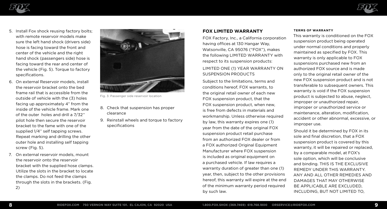



- 5. Install Fox shock reusing factory bolts; with remote reservoir models make sure the left hand shock (drivers side) hose is facing toward the front and center of the vehicle and the right hand shock (passengers side) hose is facing toward the rear and center of the vehicle (Fig. 5). Torque to factory specifications.
- 6. On external Reservoir models, install the reservoir bracket onto the bed frame rail that is accessible from the outside of vehicle with the (3) holes facing up approximately 4" from the inside of the vehicle frame. Mark one of the outer holes and drill a 7/32'' pilot hole then secure the reservoir bracket to the fame with one of the supplied 1/4'' self tapping screws. Repeat marking and drilling the other outer hole and installing self tapping screw (Fig. 5).
- 7. On external reservoir models, mount the reservoir onto the reservoir bracket with the supplied hose clamps. Utilize the slots in the bracket to locate the clamps. Do not feed the clamps through the slots in the brackets. (Fig.  $2)$



Fig. 3: Passenger side reservoir location

- 8. Check that suspension has proper clearance
- 9. Reinstall wheels and torque to factory specifications

### **FOX LIMITED WARRANTY**

FOX Factory, Inc., a California corporation having offices at 130 Hangar Way, Watsonville, CA 95076 ("FOX"), makes the following LIMITED WARRANTY with respect to its suspension products:

#### LIMITED ONE (1) YEAR WARRANTY ON SUSPENSION PRODUCTS

Subject to the limitations, terms and conditions hereof, FOX warrants, to the original retail owner of each new FOX suspension product, that the FOX suspension product, when new, is free from defects in materials and workmanship. Unless otherwise required by law, this warranty expires one (1) year from the date of the original FOX suspension product retail purchase from an authorized FOX dealer or from a FOX authorized Original Equipment Manufacturer where FOX suspension is included as original equipment on a purchased vehicle. If law requires a warranty duration of greater than one (1) year, then, subject to the other provisions hereof, this warranty will expire at the end of the minimum warranty period required by such law.

#### **TERMS OF WARRANTY**

This warranty is conditioned on the FOX suspension product being operated under normal conditions and properly maintained as specified by FOX. This warranty is only applicable to FOX suspensions purchased new from an authorized FOX source and is made only to the original retail owner of the new FOX suspension product and is not transferable to subsequent owners. This warranty is void if the FOX suspension product is subjected to abuse, neglect, improper or unauthorized repair, improper or unauthorized service or maintenance, alteration, modification, accident or other abnormal, excessive, or improper use.

Should it be determined by FOX in its sole and final discretion, that a FOX suspension product is covered by this warranty, it will be repaired or replaced, by a comparable model, at FOX's sole option, which will be conclusive and binding. THIS IS THE EXCLUSIVE REMEDY UNDER THIS WARRANTY. ANY AND ALL OTHER REMEDIES AND DAMAGES THAT MAY OTHERWISE BE APPLICABLE ARE EXCLUDED, INCLUDING, BUT NOT LIMITED TO,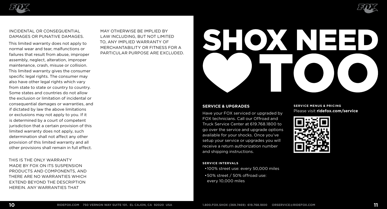



#### INCIDENTAL OR CONSEQUENTIAL DAMAGES OR PUNATIVE DAMAGES.

This limited warranty does not apply to normal wear and tear, malfunctions or failures that result from abuse, improper assembly, neglect, alteration, improper maintenance, crash, misuse or collision. This limited warranty gives the consumer specific legal rights. The consumer may also have other legal rights which vary from state to state or country to country. Some states and countries do not allow the exclusion or limitation of incidental or consequential damages or warranties, and if dictated by law the above limitations or exclusions may not apply to you. If it is determined by a court of competent jurisdiction that a certain provision of this limited warranty does not apply, such determination shall not affect any other provision of this limited warranty and all other provisions shall remain in full effect.

THIS IS THE ONLY WARRANTY MADE BY FOX ON ITS SUSPENSION PRODUCTS AND COMPONENTS, AND THERE ARE NO WARRANTIES WHICH EXTEND BEYOND THE DESCRIPTION HEREIN. ANY WARRANTIES THAT

MAY OTHERWISE BE IMPLIED BY LAW INCLUDING, BUT NOT LIMITED TO, ANY IMPLIED WARRANTY OF MERCHANTABILITY OR FITNESS FOR A PARTICULAR PURPOSE ARE EXCLUDED.

## **SERVICE & UPGRADES**

Have your FOX serviced or upgraded by FOX technicians. Call our Offroad and Truck Service Center at 619.768.1800 to go over the service and upgrade options available for your shocks. Once you've setup your service or upgrades you will receive a return authorization number and shipping instructions.

#### **SERVICE INTERVALS**

•100% street use: every 50,000 miles •50% street / 50% offroad use: every 10,000 miles

#### **SERVICE MENUS & PRICING** Please visit **ridefox.com/service**



SHOXENEE!